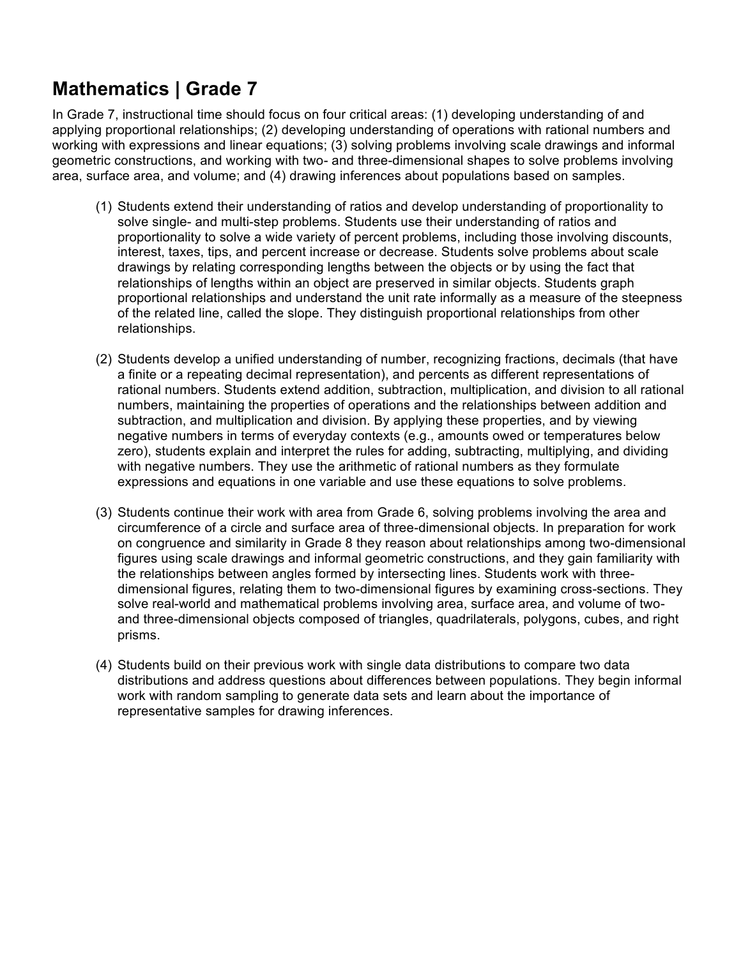# **Mathematics | Grade 7**

In Grade 7, instructional time should focus on four critical areas: (1) developing understanding of and applying proportional relationships; (2) developing understanding of operations with rational numbers and working with expressions and linear equations; (3) solving problems involving scale drawings and informal geometric constructions, and working with two- and three-dimensional shapes to solve problems involving area, surface area, and volume; and (4) drawing inferences about populations based on samples.

- (1) Students extend their understanding of ratios and develop understanding of proportionality to solve single- and multi-step problems. Students use their understanding of ratios and proportionality to solve a wide variety of percent problems, including those involving discounts, interest, taxes, tips, and percent increase or decrease. Students solve problems about scale drawings by relating corresponding lengths between the objects or by using the fact that relationships of lengths within an object are preserved in similar objects. Students graph proportional relationships and understand the unit rate informally as a measure of the steepness of the related line, called the slope. They distinguish proportional relationships from other relationships.
- (2) Students develop a unified understanding of number, recognizing fractions, decimals (that have a finite or a repeating decimal representation), and percents as different representations of rational numbers. Students extend addition, subtraction, multiplication, and division to all rational numbers, maintaining the properties of operations and the relationships between addition and subtraction, and multiplication and division. By applying these properties, and by viewing negative numbers in terms of everyday contexts (e.g., amounts owed or temperatures below zero), students explain and interpret the rules for adding, subtracting, multiplying, and dividing with negative numbers. They use the arithmetic of rational numbers as they formulate expressions and equations in one variable and use these equations to solve problems.
- (3) Students continue their work with area from Grade 6, solving problems involving the area and circumference of a circle and surface area of three-dimensional objects. In preparation for work on congruence and similarity in Grade 8 they reason about relationships among two-dimensional figures using scale drawings and informal geometric constructions, and they gain familiarity with the relationships between angles formed by intersecting lines. Students work with threedimensional figures, relating them to two-dimensional figures by examining cross-sections. They solve real-world and mathematical problems involving area, surface area, and volume of twoand three-dimensional objects composed of triangles, quadrilaterals, polygons, cubes, and right prisms.
- (4) Students build on their previous work with single data distributions to compare two data distributions and address questions about differences between populations. They begin informal work with random sampling to generate data sets and learn about the importance of representative samples for drawing inferences.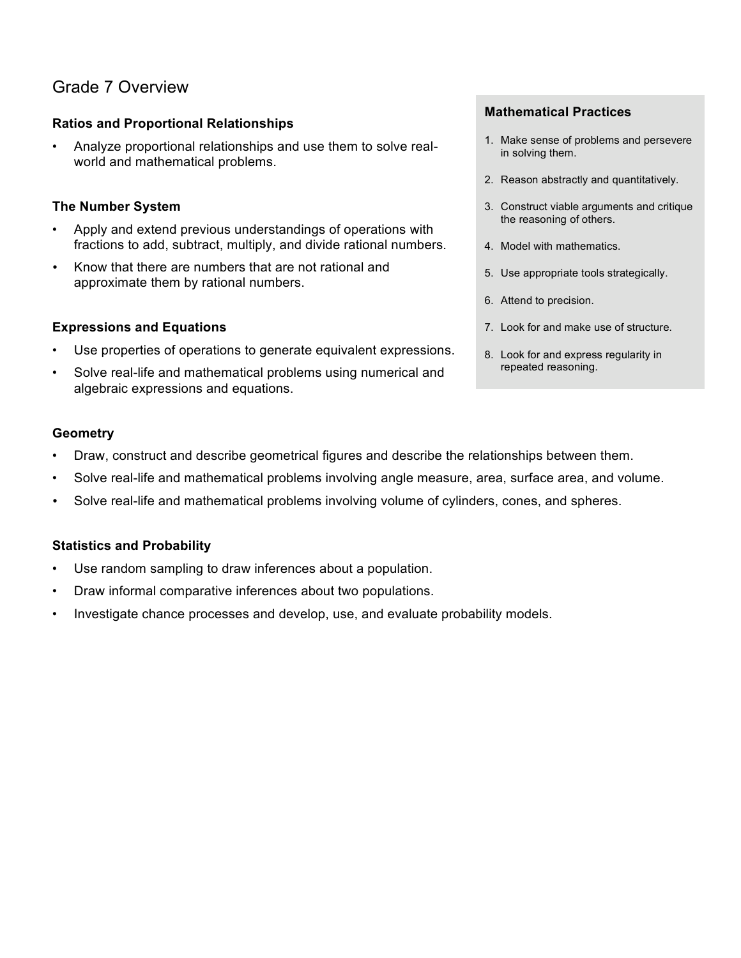# Grade 7 Overview

# **Ratios and Proportional Relationships**

• Analyze proportional relationships and use them to solve realworld and mathematical problems.

# **The Number System**

- Apply and extend previous understandings of operations with fractions to add, subtract, multiply, and divide rational numbers.
- Know that there are numbers that are not rational and approximate them by rational numbers.

# **Expressions and Equations**

- Use properties of operations to generate equivalent expressions.
- Solve real-life and mathematical problems using numerical and algebraic expressions and equations.

# **Mathematical Practices**

- 1. Make sense of problems and persevere in solving them.
- 2. Reason abstractly and quantitatively.
- 3. Construct viable arguments and critique the reasoning of others.
- 4. Model with mathematics.
- 5. Use appropriate tools strategically.
- 6. Attend to precision.
- 7. Look for and make use of structure.
- 8. Look for and express regularity in repeated reasoning.

# **Geometry**

- Draw, construct and describe geometrical figures and describe the relationships between them.
- Solve real-life and mathematical problems involving angle measure, area, surface area, and volume.
- Solve real-life and mathematical problems involving volume of cylinders, cones, and spheres.

# **Statistics and Probability**

- Use random sampling to draw inferences about a population.
- Draw informal comparative inferences about two populations.
- Investigate chance processes and develop, use, and evaluate probability models.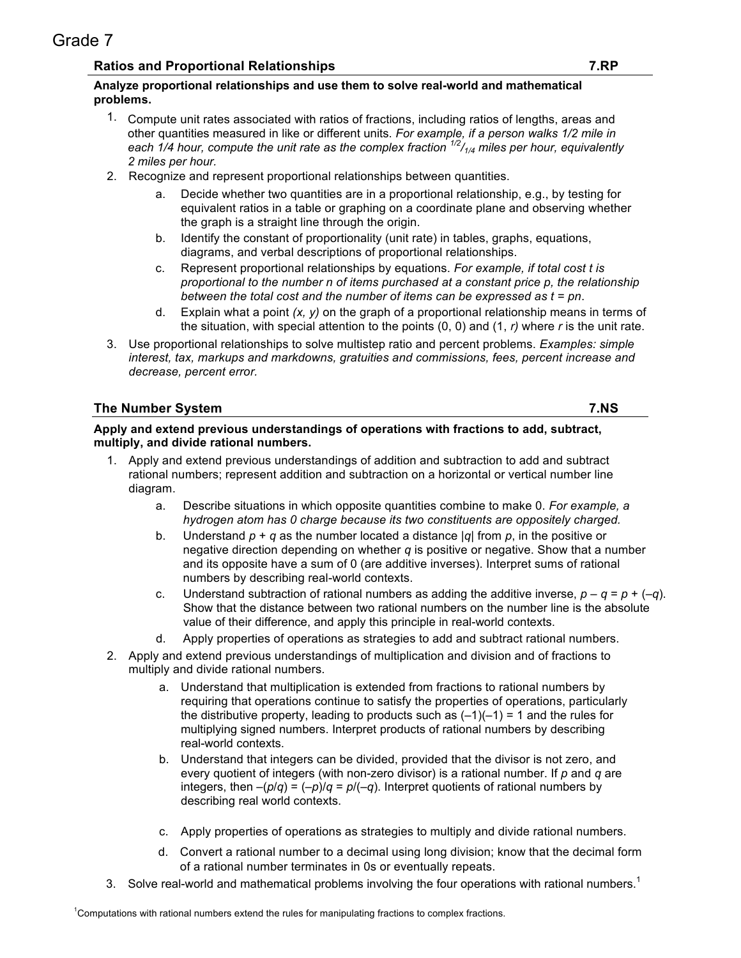# Grade 7

# **Ratios and Proportional Relationships 7.RP**

#### **Analyze proportional relationships and use them to solve real-world and mathematical problems.**

- 1. Compute unit rates associated with ratios of fractions, including ratios of lengths, areas and other quantities measured in like or different units. *For example, if a person walks 1/2 mile in each 1/4 hour, compute the unit rate as the complex fraction 1/2/1/4 miles per hour, equivalently 2 miles per hour.*
- 2. Recognize and represent proportional relationships between quantities.
	- a. Decide whether two quantities are in a proportional relationship, e.g., by testing for equivalent ratios in a table or graphing on a coordinate plane and observing whether the graph is a straight line through the origin.
	- b. Identify the constant of proportionality (unit rate) in tables, graphs, equations, diagrams, and verbal descriptions of proportional relationships.
	- c. Represent proportional relationships by equations. *For example, if total cost t is proportional to the number n of items purchased at a constant price p, the relationship between the total cost and the number of items can be expressed as t = pn*.
	- d. Explain what a point *(x, y)* on the graph of a proportional relationship means in terms of the situation, with special attention to the points (0, 0) and (1, *r)* where *r* is the unit rate.
- 3. Use proportional relationships to solve multistep ratio and percent problems. *Examples: simple interest, tax, markups and markdowns, gratuities and commissions, fees, percent increase and decrease, percent error.*

# **The Number System 7.NS**

### **Apply and extend previous understandings of operations with fractions to add, subtract, multiply, and divide rational numbers.**

- 1. Apply and extend previous understandings of addition and subtraction to add and subtract rational numbers; represent addition and subtraction on a horizontal or vertical number line diagram.
	- a. Describe situations in which opposite quantities combine to make 0. *For example, a hydrogen atom has 0 charge because its two constituents are oppositely charged.*
	- b. Understand  $p + q$  as the number located a distance  $|q|$  from p, in the positive or negative direction depending on whether *q* is positive or negative. Show that a number and its opposite have a sum of 0 (are additive inverses). Interpret sums of rational numbers by describing real-world contexts.
	- c. Understand subtraction of rational numbers as adding the additive inverse,  $p q = p + (-q)$ . Show that the distance between two rational numbers on the number line is the absolute value of their difference, and apply this principle in real-world contexts.
	- d. Apply properties of operations as strategies to add and subtract rational numbers.
- 2. Apply and extend previous understandings of multiplication and division and of fractions to multiply and divide rational numbers.
	- a. Understand that multiplication is extended from fractions to rational numbers by requiring that operations continue to satisfy the properties of operations, particularly the distributive property, leading to products such as  $(-1)(-1) = 1$  and the rules for multiplying signed numbers. Interpret products of rational numbers by describing real-world contexts.
	- b. Understand that integers can be divided, provided that the divisor is not zero, and every quotient of integers (with non-zero divisor) is a rational number. If *p* and *q* are integers, then  $-(p/q) = (-p)/q = p/(-q)$ . Interpret quotients of rational numbers by describing real world contexts.
	- c. Apply properties of operations as strategies to multiply and divide rational numbers.
	- d. Convert a rational number to a decimal using long division; know that the decimal form of a rational number terminates in 0s or eventually repeats.
- 3. Solve real-world and mathematical problems involving the four operations with rational numbers.<sup>1</sup>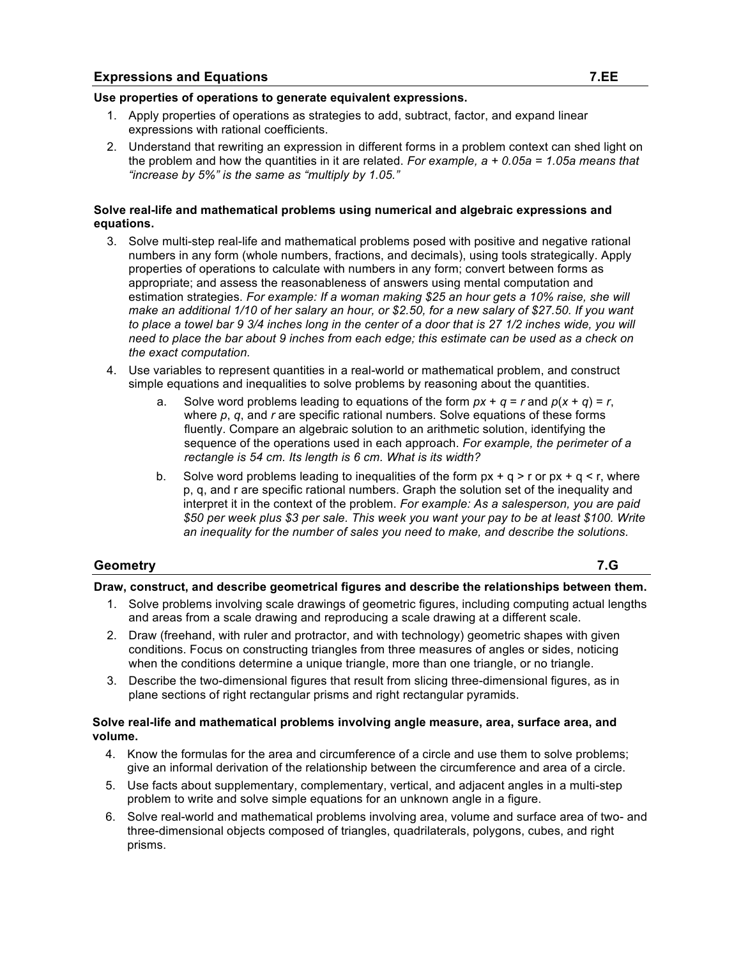#### **Use properties of operations to generate equivalent expressions.**

- 1. Apply properties of operations as strategies to add, subtract, factor, and expand linear expressions with rational coefficients.
- 2. Understand that rewriting an expression in different forms in a problem context can shed light on the problem and how the quantities in it are related. *For example, a + 0.05a = 1.05a means that "increase by 5%" is the same as "multiply by 1.05."*

#### **Solve real-life and mathematical problems using numerical and algebraic expressions and equations.**

- 3. Solve multi-step real-life and mathematical problems posed with positive and negative rational numbers in any form (whole numbers, fractions, and decimals), using tools strategically. Apply properties of operations to calculate with numbers in any form; convert between forms as appropriate; and assess the reasonableness of answers using mental computation and estimation strategies. *For example: If a woman making \$25 an hour gets a 10% raise, she will make an additional 1/10 of her salary an hour, or \$2.50, for a new salary of \$27.50. If you want to place a towel bar 9 3/4 inches long in the center of a door that is 27 1/2 inches wide, you will need to place the bar about 9 inches from each edge; this estimate can be used as a check on the exact computation.*
- 4. Use variables to represent quantities in a real-world or mathematical problem, and construct simple equations and inequalities to solve problems by reasoning about the quantities.
	- a. Solve word problems leading to equations of the form  $px + q = r$  and  $p(x + q) = r$ , where *p*, *q*, and *r* are specific rational numbers. Solve equations of these forms fluently. Compare an algebraic solution to an arithmetic solution, identifying the sequence of the operations used in each approach. *For example, the perimeter of a rectangle is 54 cm. Its length is 6 cm. What is its width?*
	- b. Solve word problems leading to inequalities of the form  $px + q > r$  or  $px + q < r$ , where p, q, and r are specific rational numbers. Graph the solution set of the inequality and interpret it in the context of the problem. *For example: As a salesperson, you are paid \$50 per week plus \$3 per sale. This week you want your pay to be at least \$100. Write an inequality for the number of sales you need to make, and describe the solutions.*

### **Geometry 7.G**

### **Draw, construct, and describe geometrical figures and describe the relationships between them.**

- 1. Solve problems involving scale drawings of geometric figures, including computing actual lengths and areas from a scale drawing and reproducing a scale drawing at a different scale.
- 2. Draw (freehand, with ruler and protractor, and with technology) geometric shapes with given conditions. Focus on constructing triangles from three measures of angles or sides, noticing when the conditions determine a unique triangle, more than one triangle, or no triangle.
- 3. Describe the two-dimensional figures that result from slicing three-dimensional figures, as in plane sections of right rectangular prisms and right rectangular pyramids.

#### **Solve real-life and mathematical problems involving angle measure, area, surface area, and volume.**

- 4. Know the formulas for the area and circumference of a circle and use them to solve problems; give an informal derivation of the relationship between the circumference and area of a circle.
- 5. Use facts about supplementary, complementary, vertical, and adjacent angles in a multi-step problem to write and solve simple equations for an unknown angle in a figure.
- 6. Solve real-world and mathematical problems involving area, volume and surface area of two- and three-dimensional objects composed of triangles, quadrilaterals, polygons, cubes, and right prisms.